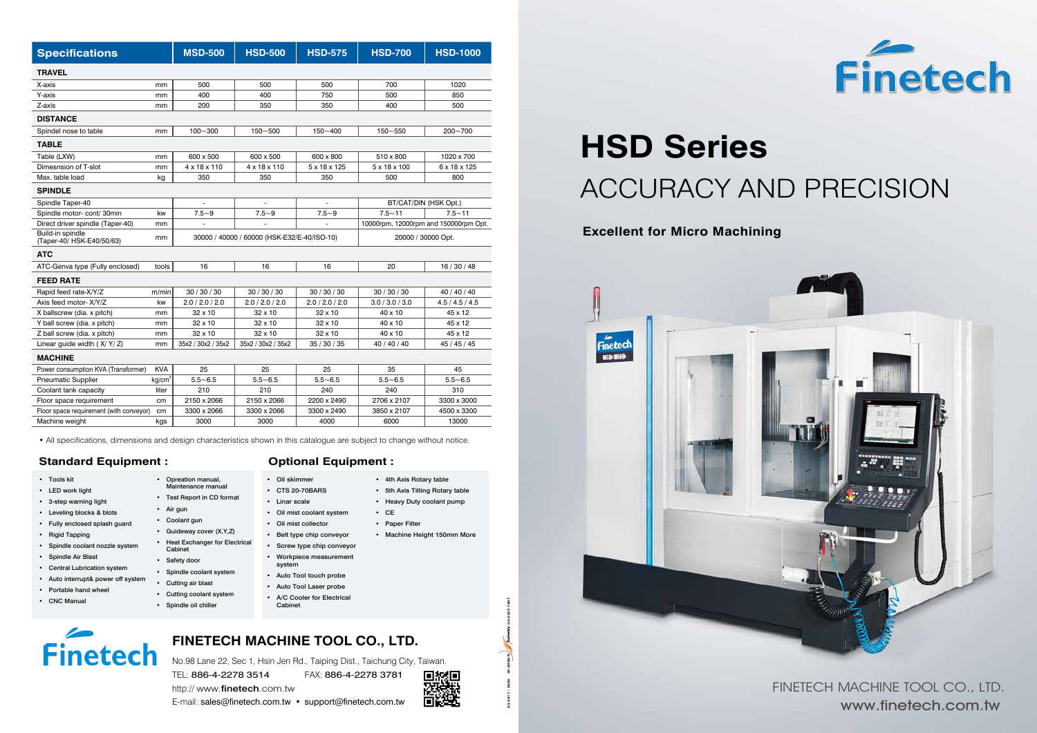No.98 Lane 22, Sec 1, Hsin Jen Rd., Taiping Dist., Taichung City, Taiwan.

TEL: 886-4-2278 3514 FAX: 886-4-2278 3781





http:// www.finetech.com.tw

## **FINETECH MACHINE TOOL CO., LTD.**

**HSD Series** ACCURACY AND PRECISION

**03.2017 / 2000 05-035E/S 04-2322 7907**

OS-O35E/S Sunway

**900s** 

04-2322 7907

| <b>Specifications</b>                         |                    | <b>MSD-500</b>                              | <b>HSD-500</b>     | <b>HSD-575</b>  | <b>HSD-700</b>                        | <b>HSD-1000</b> |
|-----------------------------------------------|--------------------|---------------------------------------------|--------------------|-----------------|---------------------------------------|-----------------|
| <b>TRAVEL</b>                                 |                    |                                             |                    |                 |                                       |                 |
| X-axis                                        | mm                 | 500                                         | 500                | 500             | 700                                   | 1020            |
| Y-axis                                        | mm                 | 400                                         | 400                | 750             | 500                                   | 850             |
| Z-axis                                        | mm                 | 200                                         | 350                | 350             | 400                                   | 500             |
| <b>DISTANCE</b>                               |                    |                                             |                    |                 |                                       |                 |
| Spindel nose to table                         | mm                 | $100 - 300$                                 | $150 - 500$        | $150 - 400$     | $150 - 550$                           | $200 - 700$     |
| <b>TABLE</b>                                  |                    |                                             |                    |                 |                                       |                 |
| Table (LXW)                                   | mm                 | 600 x 500                                   | 600 x 500          | 600 x 800       | 510 x 800                             | 1020 x 700      |
| Dimesnsion of T-slot                          | mm                 | 4 x 18 x 110                                | 4 x 18 x 110       | 5 x 18 x 125    | 5 x 18 x 100                          | 6 x 18 x 125    |
| Max. table load                               | kg                 | 350                                         | 350                | 350             | 500                                   | 800             |
| <b>SPINDLE</b>                                |                    |                                             |                    |                 |                                       |                 |
| Spindle Taper-40                              |                    |                                             |                    |                 | BT/CAT/DIN (HSK Opt.)                 |                 |
| Spindle motor-cont/30min                      | kw                 | $7.5 - 9$                                   | $7.5 - 9$          | $7.5 - 9$       | $7.5 - 11$                            | $7.5 - 11$      |
| Direct driver spindle (Taper-40)              | mm                 |                                             |                    |                 | 10000rpm, 12000rpm and 150000rpm Opt. |                 |
| Build-in spindle<br>(Taper-40/ HSK-E40/50/63) | mm                 | 30000 / 40000 / 60000 (HSK-E32/E-40/ISO-10) |                    |                 | 20000 / 30000 Opt.                    |                 |
| <b>ATC</b>                                    |                    |                                             |                    |                 |                                       |                 |
| ATC-Genva type (Fully enclosed)               | tools              | 16                                          | 16                 | 16              | 20                                    | 16/30/48        |
| <b>FEED RATE</b>                              |                    |                                             |                    |                 |                                       |                 |
| Rapid feed rate-X/Y/Z                         | m/min              | 30/30/30                                    | 30/30/30           | 30/30/30        | 30/30/30                              | 40 / 40 / 40    |
| Axis feed motor- X/Y/Z                        | kw                 | 2.0 / 2.0 / 2.0                             | 2.0 / 2.0 / 2.0    | 2.0 / 2.0 / 2.0 | 3.0 / 3.0 / 3.0                       | 4.5 / 4.5 / 4.5 |
| X ballscrew (dia. x pitch)                    | mm                 | 32 x 10                                     | $32 \times 10$     | 32 x 10         | 40 x 10                               | 45 x 12         |
| Y ball screw (dia. x pitch)                   | mm                 | $32 \times 10$                              | $32 \times 10$     | $32 \times 10$  | 40 x 10                               | 45 x 12         |
| Z ball screw (dia. x pitch)                   | mm                 | 32 x 10                                     | $32 \times 10$     | $32 \times 10$  | $40 \times 10$                        | 45 x 12         |
| Linear guide width $(X/Y/Z)$                  | mm                 | 35x2 / 30x2 / 35x2                          | 35x2 / 30x2 / 35x2 | 35 / 30 / 35    | 40 / 40 / 40                          | 45 / 45 / 45    |
| <b>MACHINE</b>                                |                    |                                             |                    |                 |                                       |                 |
| Power consumption KVA (Transformer)           | <b>KVA</b>         | 25                                          | 25                 | 25              | 35                                    | 45              |
| <b>Pneumatic Supplier</b>                     | kg/cm <sup>2</sup> | $5.5 - 6.5$                                 | $5.5 - 6.5$        | $5.5 - 6.5$     | $5.5 - 6.5$                           | $5.5 - 6.5$     |
| Coolant tank capacity                         | liter              | 210                                         | 210                | 240             | 240                                   | 310             |
| Floor space requirement                       | cm                 | 2150 x 2066                                 | 2150 x 2066        | 2200 x 2490     | 2706 x 2107                           | 3300 x 3000     |
| Floor space requirement (with conveyor)       | cm                 | 3300 x 2066                                 | 3300 x 2066        | 3300 x 2490     | 3850 x 2107                           | 4500 x 3300     |
| Machine weight                                | kgs                | 3000                                        | 3000               | 4000            | 6000                                  | 13000           |

• All specifications, dimensions and design characteristics shown in this catalogue are subject to change without notice.

### **Standard Equipment : Optional Equipment :**

- Tools kit
- LED work light
- 3-step warning light
- Leveling blocks & blots
- Fully enclosed splash guard
- Rigid Tapping
- Spindle coolant nozzle system
- Spindle Air Blast
- Central Lubrication system
- Auto interrupt& power off system
- Portable hand wheel
- CNC Manual

- Oil skimmer
- CTS 20-70BARS
- Linar scale
- Oil mist coolant system
- Oil mist collector
- Belt type chip conveyor
- Screw type chip conveyor
- Workpiece measurement
- system
- 
- 
- 
- Cabinet

# **Finetech**

• Opreation manual, Maintenance manual • Test Report in CD format

• Air gun • Coolant gun

• Guideway cover (X,Y,Z) • Heat Exchanger for Electrical

- 
- 
- 
- Auto Tool touch probe
- Auto Tool Laser probe
- A/C Cooler for Electrical
- Heavy Duty coolant pump • CE
	- Paper Filter
	- Machine Height 150mm More

Cabinet • Safety door

• Spindle coolant system • Cutting air blast • Cutting coolant system • Spindle oil chiller

• 4th Axis Rotary table • 5th Axis Tilting Rotary table



### **Excellent for Micro Machining**